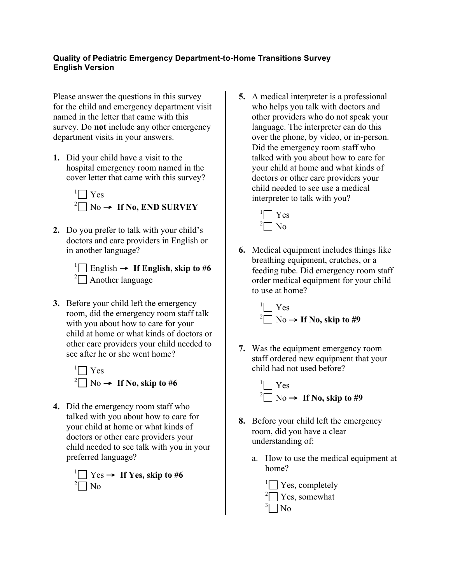## **Quality of Pediatric Emergency Department-to-Home Transitions Survey English Version**

Please answer the questions in this survey for the child and emergency department visit named in the letter that came with this survey. Do **not** include any other emergency department visits in your answers.

**1.** Did your child have a visit to the hospital emergency room named in the cover letter that came with this survey?



- **2.** Do you prefer to talk with your child's doctors and care providers in English or in another language?
	- $\prod$  English  $\rightarrow$  If English, skip to #6  $2\Box$  Another language
- **3.** Before your child left the emergency room, did the emergency room staff talk with you about how to care for your child at home or what kinds of doctors or other care providers your child needed to see after he or she went home?



**4.** Did the emergency room staff who talked with you about how to care for your child at home or what kinds of doctors or other care providers your child needed to see talk with you in your preferred language?



**5.** A medical interpreter is a professional who helps you talk with doctors and other providers who do not speak your language. The interpreter can do this over the phone, by video, or in-person. Did the emergency room staff who talked with you about how to care for your child at home and what kinds of doctors or other care providers your child needed to see use a medical interpreter to talk with you?

> $\sqrt[1]{\bigcap}$  Yes  $2\Box$  No

**6.** Medical equipment includes things like breathing equipment, crutches, or a feeding tube. Did emergency room staff order medical equipment for your child to use at home?

> $\Box$  Yes  $^{2}$  No  $\rightarrow$  **If No, skip to #9**

**7.** Was the equipment emergency room staff ordered new equipment that your child had not used before?



- **8.** Before your child left the emergency room, did you have a clear understanding of:
	- a. How to use the medical equipment at home?